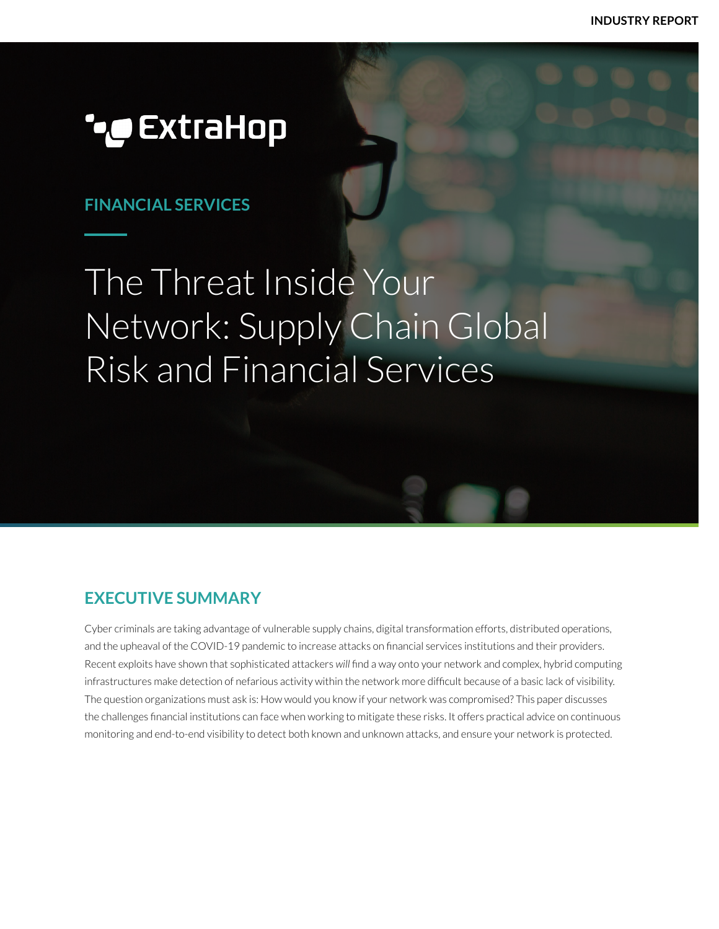**INDUSTRY REPORT**

## *••* ExtraHop

## **FINANCIAL SERVICES**

# The Threat Inside Your Network: Supply Chain Global Risk and Financial Services

## **EXECUTIVE SUMMARY**

Cyber criminals are taking advantage of vulnerable supply chains, digital transformation efforts, distributed operations, and the upheaval of the COVID-19 pandemic to increase attacks on financial services institutions and their providers. Recent exploits have shown that sophisticated attackers *will* find a way onto your network and complex, hybrid computing infrastructures make detection of nefarious activity within the network more difficult because of a basic lack of visibility. The question organizations must ask is: How would you know if your network was compromised? This paper discusses the challenges financial institutions can face when working to mitigate these risks. It offers practical advice on continuous monitoring and end-to-end visibility to detect both known and unknown attacks, and ensure your network is protected.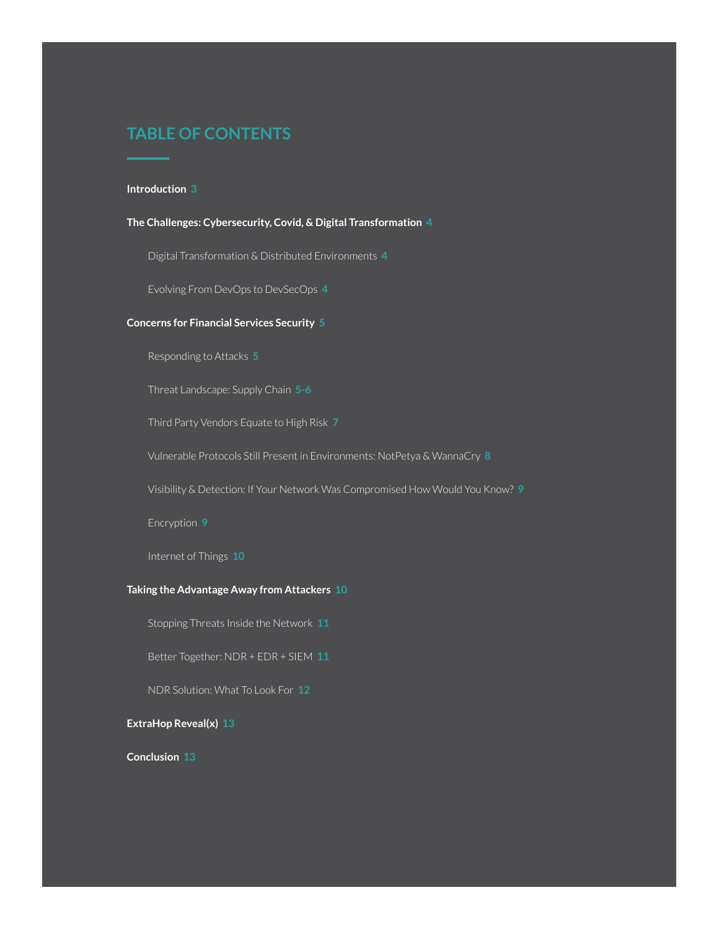## **TABLE OF CONTENTS**

#### **Introduction 3**

**The Challenges: Cybersecurity, Covid, & Digital Transformation 4**

Digital Transformation & Distributed Environments **4**

Evolving From DevOps to DevSecOps **4**

#### **Concerns for Financial Services Security 5**

Responding to Attacks **5**

Threat Landscape: Supply Chain **5-6**

Third Party Vendors Equate to High Risk **7**

Vulnerable Protocols Still Present in Environments: NotPetya & WannaCry **8**

Visibility & Detection: If Your Network Was Compromised How Would You Know? **9**

Encryption **9**

Internet of Things **10**

#### **Taking the Advantage Away from Attackers 10**

Stopping Threats Inside the Network **11**

Better Together: NDR + EDR + SIEM **11**

NDR Solution: What To Look For **12**

**ExtraHop Reveal(x) 13**

**Conclusion 13**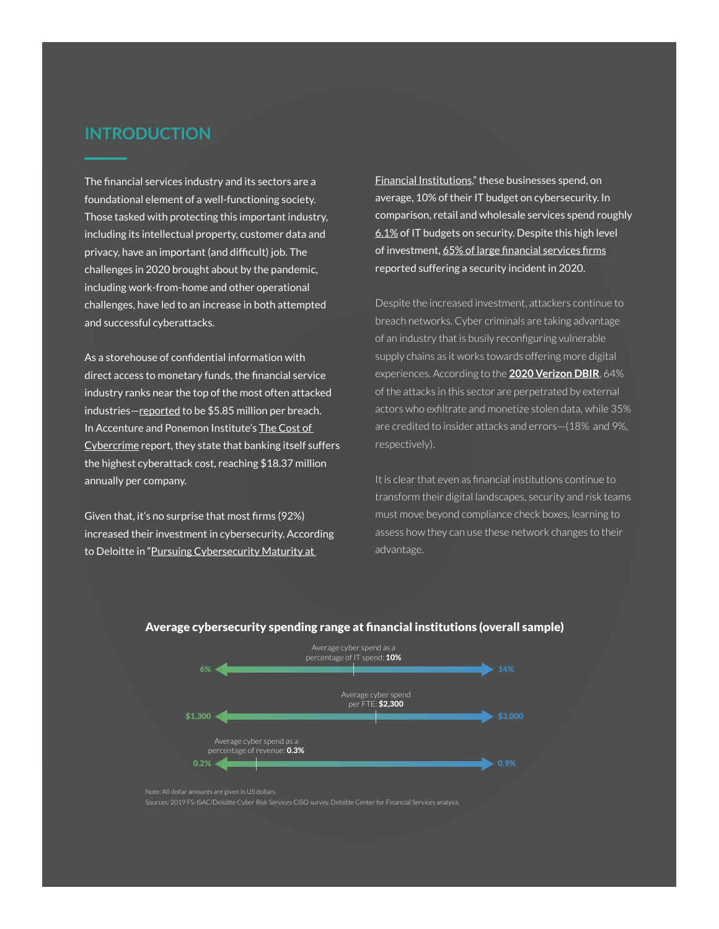## **INTRODUCTION**

The financial services industry and its sectors are a foundational element of a well-functioning society. Those tasked with protecting this important industry, including its intellectual property, customer data and privacy, have an important (and difficult) job. The challenges in 2020 brought about by the pandemic, including work-from-home and other operational challenges, have led to an increase in both attempted and successful cyberattacks.

As a storehouse of confidential information with direct access to monetary funds, the financial service industry ranks near the top of the most often attacked industries-[reported](https://www.ibm.com/security/digital-assets/cost-data-breach-report/#/) to be \$5.85 million per breach. In Accenture and Ponemon Institute's [The Cost of](https://www.accenture.com/us-en/insights/financial-services/cost-cybercrime-study-financial-services)  [Cybercrime](https://www.accenture.com/us-en/insights/financial-services/cost-cybercrime-study-financial-services) report, they state that banking itself suffers the highest cyberattack cost, reaching \$18.37 million annually per company.

Given that, it's no surprise that most firms (92%) increased their investment in cybersecurity. According to Deloitte in "[Pursuing Cybersecurity Maturity at](https://www2.deloitte.com/content/dam/Deloitte/ec/Documents/financial-services/DI_Pursuing-cybersecurity-maturity-at-financial-institutions.pdf) 

[Financial Institutions](https://www2.deloitte.com/content/dam/Deloitte/ec/Documents/financial-services/DI_Pursuing-cybersecurity-maturity-at-financial-institutions.pdf)," these businesses spend, on average, 10% of their IT budget on cybersecurity. In comparison, retail and wholesale services spend roughly [6.1%](https://www.computereconomics.com/article.cfm?id=2626) of IT budgets on security. Despite this high level of investment, [65% of large financial services firms](https://securitybrief.co.nz/story/92-of-financial-services-firms-increased-cybersecurity-investment-this-year) reported suffering a security incident in 2020.

Despite the increased investment, attackers continue to breach networks. Cyber criminals are taking advantage of an industry that is busily reconfiguring vulnerable supply chains as it works towards offering more digital experiences. According to the **[2020 Verizon DBIR](https://enterprise.verizon.com/resources/reports/dbir/)**, 64% of the attacks in this sector are perpetrated by external actors who exfiltrate and monetize stolen data, while 35% are credited to insider attacks and errors—(18% and 9%, respectively).

It is clear that even as financial institutions continue to transform their digital landscapes, security and risk teams must move beyond compliance check boxes, learning to assess how they can use these network changes to their advantage.



#### Average cybersecurity spending range at financial institutions (overall sample)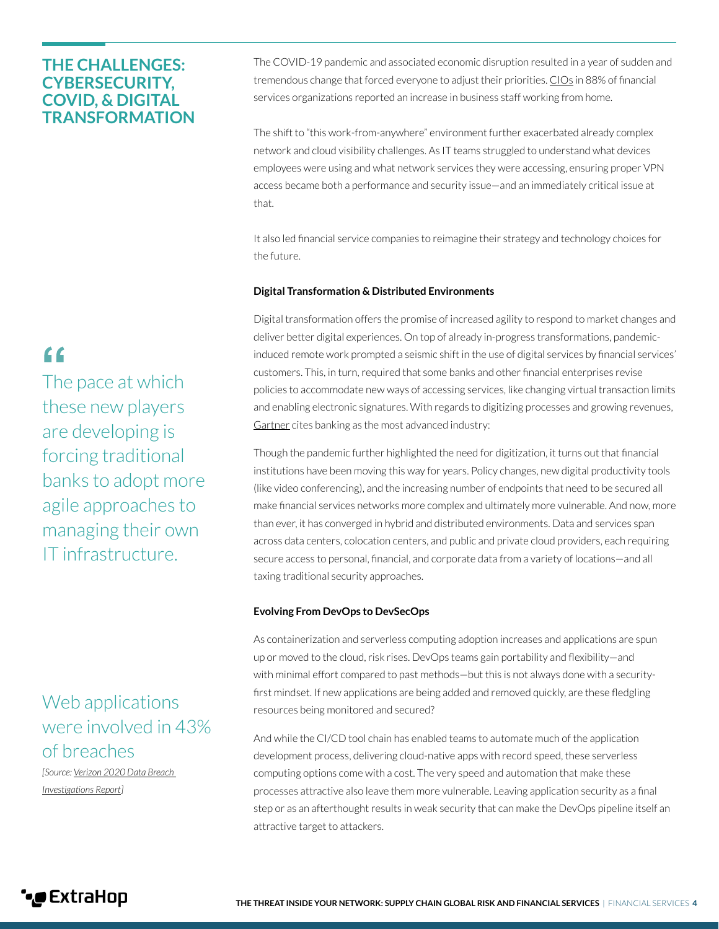## **THE CHALLENGES: CYBERSECURITY, COVID, & DIGITAL TRANSFORMATION**

The COVID-19 pandemic and associated economic disruption resulted in a year of sudden and tremendous change that forced everyone to adjust their priorities. [CIOs](https://www.gartner.com/en/documents/3992906/2021-cio-agenda-a-banking-perspective) in 88% of financial services organizations reported an increase in business staff working from home.

The shift to "this work-from-anywhere" environment further exacerbated already complex network and cloud visibility challenges. As IT teams struggled to understand what devices employees were using and what network services they were accessing, ensuring proper VPN access became both a performance and security issue—and an immediately critical issue at that.

It also led financial service companies to reimagine their strategy and technology choices for the future.

#### **Digital Transformation & Distributed Environments**

Digital transformation offers the promise of increased agility to respond to market changes and deliver better digital experiences. On top of already in-progress transformations, pandemicinduced remote work prompted a seismic shift in the use of digital services by financial services' customers. This, in turn, required that some banks and other financial enterprises revise policies to accommodate new ways of accessing services, like changing virtual transaction limits and enabling electronic signatures. With regards to digitizing processes and growing revenues, [Gartner](https://www.gartner.com/en/documents/3992906/2021-cio-agenda-a-banking-perspective) cites banking as the most advanced industry:

Though the pandemic further highlighted the need for digitization, it turns out that financial institutions have been moving this way for years. Policy changes, new digital productivity tools (like video conferencing), and the increasing number of endpoints that need to be secured all make financial services networks more complex and ultimately more vulnerable. And now, more than ever, it has converged in hybrid and distributed environments. Data and services span across data centers, colocation centers, and public and private cloud providers, each requiring secure access to personal, financial, and corporate data from a variety of locations—and all taxing traditional security approaches.

#### **Evolving From DevOps to DevSecOps**

As containerization and serverless computing adoption increases and applications are spun up or moved to the cloud, risk rises. DevOps teams gain portability and flexibility—and with minimal effort compared to past methods—but this is not always done with a securityfirst mindset. If new applications are being added and removed quickly, are these fledgling resources being monitored and secured?

And while the CI/CD tool chain has enabled teams to automate much of the application development process, delivering cloud-native apps with record speed, these serverless computing options come with a cost. The very speed and automation that make these processes attractive also leave them more vulnerable. Leaving application security as a final step or as an afterthought results in weak security that can make the DevOps pipeline itself an attractive target to attackers.

## $66$

The pace at which these new players are developing is forcing traditional banks to adopt more agile approaches to managing their own IT infrastructure.

## Web applications were involved in 43% of breaches

*[Source: [Verizon 2020 Data Breach](https://enterprise.verizon.com/resources/reports/dbir/)  [Investigations Report\]](https://enterprise.verizon.com/resources/reports/dbir/)*

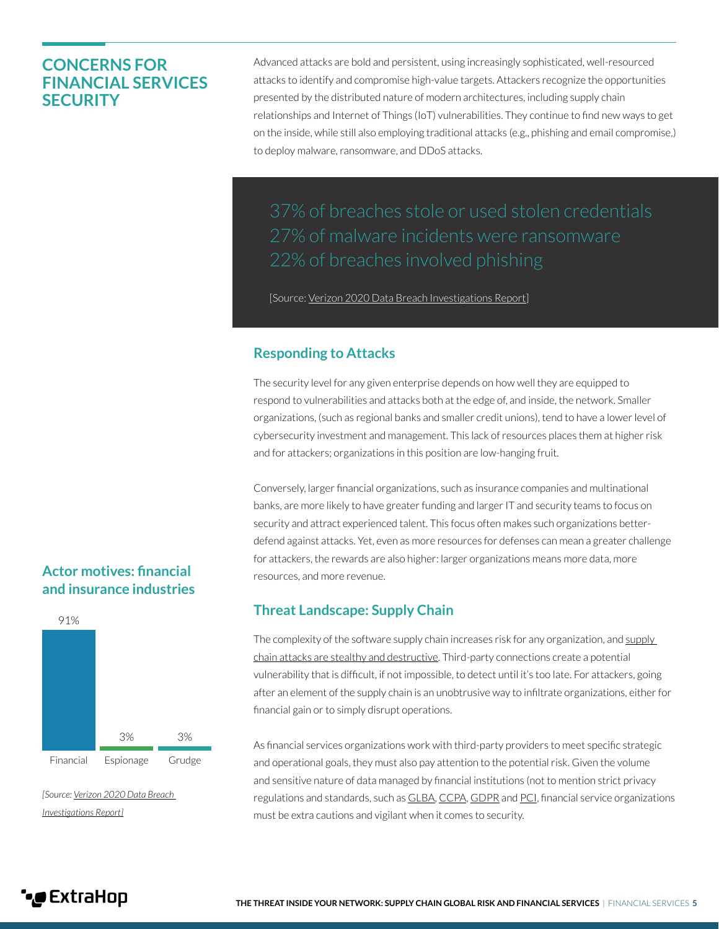## **CONCERNS FOR FINANCIAL SERVICES SECURITY**

Advanced attacks are bold and persistent, using increasingly sophisticated, well-resourced attacks to identify and compromise high-value targets. Attackers recognize the opportunities presented by the distributed nature of modern architectures, including supply chain relationships and Internet of Things (IoT) vulnerabilities. They continue to find new ways to get on the inside, while still also employing traditional attacks (e.g., phishing and email compromise,) to deploy malware, ransomware, and DDoS attacks.

37% of breaches stole or used stolen credentials 27% of malware incidents were ransomware

[Source: [Verizon 2020 Data Breach Investigations Report](https://enterprise.verizon.com/resources/reports/dbir/2020/summary-of-findings/)]

## **Responding to Attacks**

The security level for any given enterprise depends on how well they are equipped to respond to vulnerabilities and attacks both at the edge of, and inside, the network. Smaller organizations, (such as regional banks and smaller credit unions), tend to have a lower level of cybersecurity investment and management. This lack of resources places them at higher risk and for attackers; organizations in this position are low-hanging fruit.

Conversely, larger financial organizations, such as insurance companies and multinational banks, are more likely to have greater funding and larger IT and security teams to focus on security and attract experienced talent. This focus often makes such organizations betterdefend against attacks. Yet, even as more resources for defenses can mean a greater challenge for attackers, the rewards are also higher: larger organizations means more data, more resources, and more revenue.

## **Threat Landscape: Supply Chain**

The complexity of the software [supply](https://www.extrahop.com/company/blog/2021/supply-chain-attacks-and-sunburst/) chain increases risk for any organization, and supply [chain attacks are stealthy and destructive](https://www.extrahop.com/company/blog/2021/supply-chain-attacks-and-sunburst/). Third-party connections create a potential vulnerability that is difficult, if not impossible, to detect until it's too late. For attackers, going after an element of the supply chain is an unobtrusive way to infiltrate organizations, either for financial gain or to simply disrupt operations.

As financial services organizations work with third-party providers to meet specific strategic and operational goals, they must also pay attention to the potential risk. Given the volume and sensitive nature of data managed by financial institutions (not to mention strict privacy regulations and standards, such as [GLBA,](https://www.ftc.gov/tips-advice/business-center/privacy-and-security/gramm-leach-bliley-act) [CCPA](https://www.wnj.com/Publications/Financial-Institutions-and-the-CCPA#:~:text=While%20a%20financial%20institution%20itself,GLBA)%20or%20its%20implementing%20regulations), [GDPR](https://www2.deloitte.com/mt/en/pages/risk/articles/mt-gdpr-fsi.html) and [PCI](https://pcipolicyportal.com/white-papers/pci-dss-compliance-requirements-financial-institutions/), financial service organizations must be extra cautions and vigilant when it comes to security.

## **Actor motives: financial and insurance industries**



*[Source: [Verizon 2020 Data Breach](https://enterprise.verizon.com/resources/reports/dbir/2020/summary-of-findings/)  [Investigations Report\]](https://enterprise.verizon.com/resources/reports/dbir/2020/summary-of-findings/)*

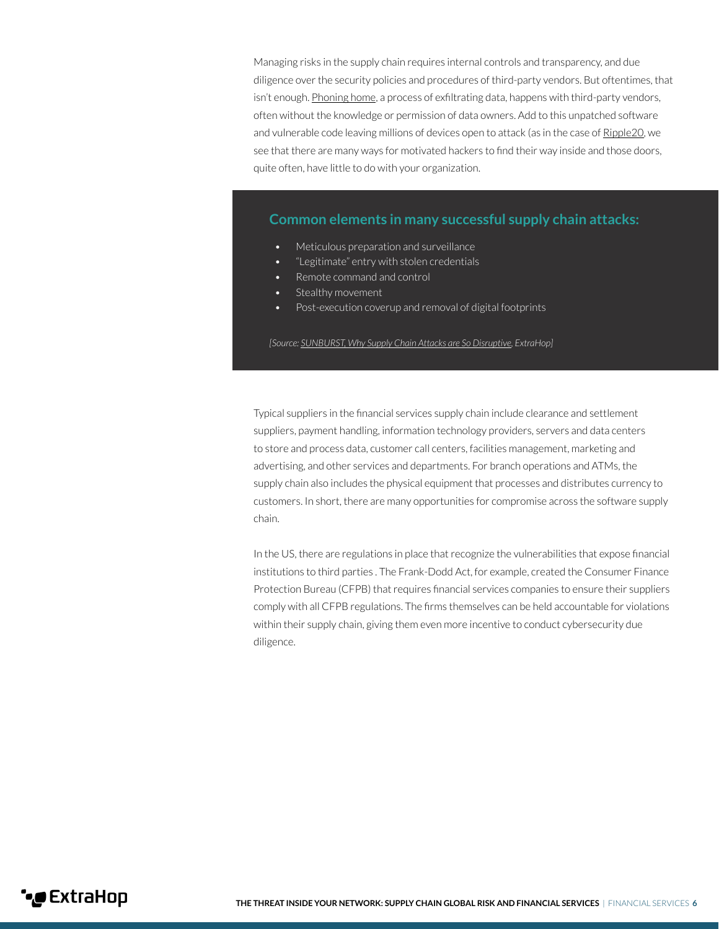Managing risks in the supply chain requires internal controls and transparency, and due diligence over the security policies and procedures of third-party vendors. But oftentimes, that isn't enough. [Phoning home](https://www.extrahop.com/resources/papers/eh-security-advisory-calling-home/), a process of exfiltrating data, happens with third-party vendors, often without the knowledge or permission of data owners. Add to this unpatched software and vulnerable code leaving millions of devices open to attack (as in the case of [Ripple20](https://www.extrahop.com/resources/papers/ripple20-security-advisory/), we see that there are many ways for motivated hackers to find their way inside and those doors, quite often, have little to do with your organization.

#### **Common elements in many successful supply chain attacks:**

- Meticulous preparation and surveillance
- "Legitimate" entry with stolen credentials
- Remote command and control
- Stealthy movement
- Post-execution coverup and removal of digital footprints

*[Source: [SUNBURST, Why Supply Chain Attacks are So Disruptive,](https://www.extrahop.com/company/blog/2021/supply-chain-attacks-and-sunburst/) ExtraHop]*

Typical suppliers in the financial services supply chain include clearance and settlement suppliers, payment handling, information technology providers, servers and data centers to store and process data, customer call centers, facilities management, marketing and advertising, and other services and departments. For branch operations and ATMs, the supply chain also includes the physical equipment that processes and distributes currency to customers. In short, there are many opportunities for compromise across the software supply chain.

In the US, there are regulations in place that recognize the vulnerabilities that expose financial institutions to third parties . The Frank-Dodd Act, for example, created the Consumer Finance Protection Bureau (CFPB) that requires financial services companies to ensure their suppliers comply with all CFPB regulations. The firms themselves can be held accountable for violations within their supply chain, giving them even more incentive to conduct cybersecurity due diligence.

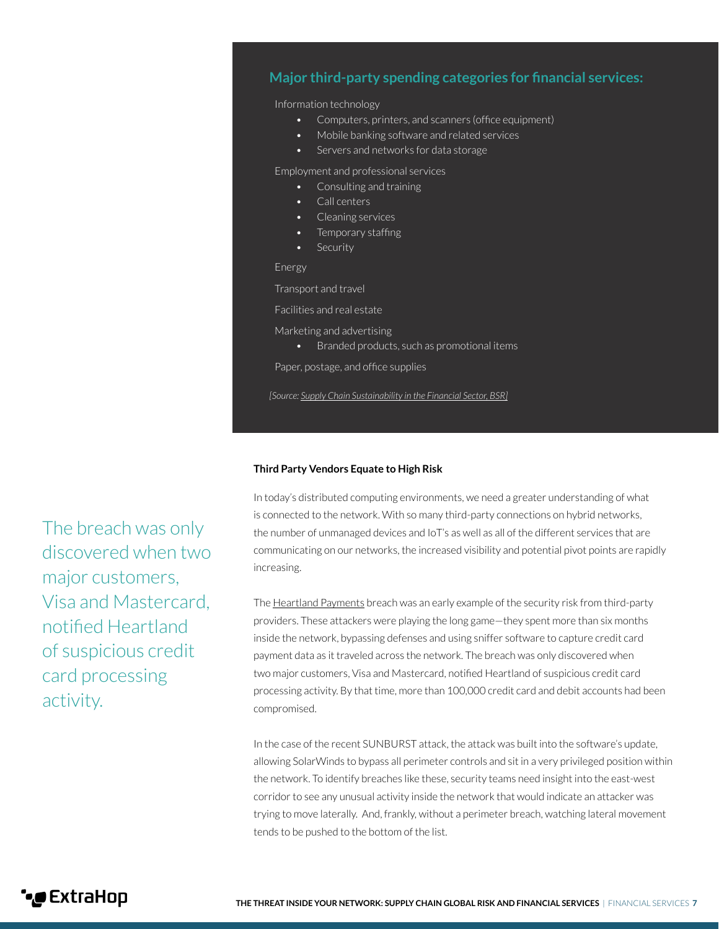## **Major third-party spending categories for financial services:**

Information technology

- Computers, printers, and scanners (office equipment)
- Mobile banking software and related services
- Servers and networks for data storage

Employment and professional services

- Consulting and training
- Call centers
- Cleaning services
- Temporary staffing
- Security

Energy

Transport and travel

Facilities and real estate

Marketing and advertising

• Branded products, such as promotional items

Paper, postage, and office supplies

*[Source: [Supply Chain Sustainability in the Financial Sector, BSR](https://www.bsr.org/reports/BSR_Financial_Sector_Supply_Chain_Sustainability_2015.pdf)]*

#### **Third Party Vendors Equate to High Risk**

In today's distributed computing environments, we need a greater understanding of what is connected to the network. With so many third-party connections on hybrid networks, the number of unmanaged devices and IoT's as well as all of the different services that are communicating on our networks, the increased visibility and potential pivot points are rapidly increasing.

The <u>Heartland Payments</u> breach was an early example of the security risk from third-party providers. These attackers were playing the long game—they spent more than six months inside the network, bypassing defenses and using sniffer software to capture credit card payment data as it traveled across the network. The breach was only discovered when two major customers, Visa and Mastercard, notified Heartland of suspicious credit card processing activity. By that time, more than 100,000 credit card and debit accounts had been compromised.

In the case of the recent SUNBURST attack, the attack was built into the software's update, allowing SolarWinds to bypass all perimeter controls and sit in a very privileged position within the network. To identify breaches like these, security teams need insight into the east-west corridor to see any unusual activity inside the network that would indicate an attacker was trying to move laterally. And, frankly, without a perimeter breach, watching lateral movement tends to be pushed to the bottom of the list.

The breach was only discovered when two major customers, Visa and Mastercard, notified Heartland of suspicious credit card processing activity.

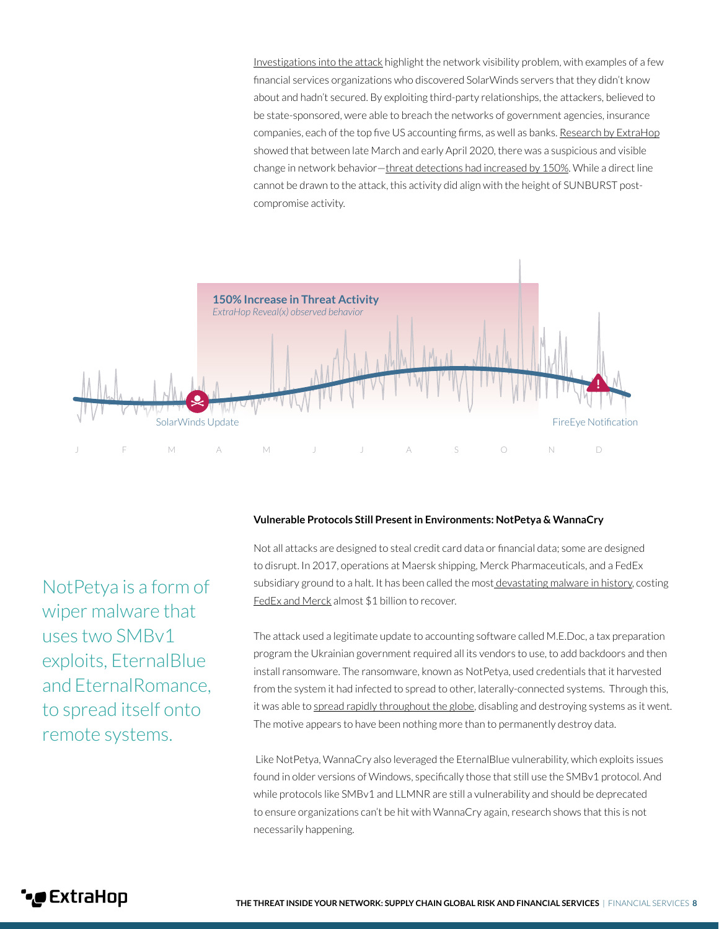[Investigations into the attack](https://assets.extrahop.com/pdfs/industry-reports/sunburst-attack-lessons-learned.pdf) highlight the network visibility problem, with examples of a few financial services organizations who discovered SolarWinds servers that they didn't know about and hadn't secured. By exploiting third-party relationships, the attackers, believed to be state-sponsored, were able to breach the networks of government agencies, insurance companies, each of the top five US accounting firms, as well as banks. [Research by ExtraHop](https://assets.extrahop.com/pdfs/industry-reports/sunburst-attack-lessons-learned.pdf) showed that between late March and early April 2020, there was a suspicious and visible change in network behavior—[threat detections had increased by 150%](https://assets.extrahop.com/pdfs/industry-reports/sunburst-attack-lessons-learned.pdf). While a direct line cannot be drawn to the attack, this activity did align with the height of SUNBURST postcompromise activity.



NotPetya is a form of wiper malware that uses two SMBv1 exploits, EternalBlue and EternalRomance, to spread itself onto remote systems.

#### **Vulnerable Protocols Still Present in Environments: NotPetya & WannaCry**

Not all attacks are designed to steal credit card data or financial data; some are designed to disrupt. In 2017, operations at Maersk shipping, Merck Pharmaceuticals, and a FedEx subsidiary ground to a halt. It has been called the most [devastating malware in history](https://www.wired.com/story/notpetya-cyberattack-ukraine-russia-code-crashed-the-world/), costing [FedEx and Merck](https://www.wsj.com/articles/one-year-after-notpetya-companies-still-wrestle-with-financial-impacts-1530095906) almost \$1 billion to recover.

The attack used a legitimate update to accounting software called M.E.Doc, a tax preparation program the Ukrainian government required all its vendors to use, to add backdoors and then install ransomware. The ransomware, known as NotPetya, used credentials that it harvested from the system it had infected to spread to other, laterally-connected systems. Through this, it was able to [spread rapidly throughout the globe](https://www.darkreading.com/threat-intelligence/3-years-after-notpetya-many-organizations-still-in-danger-of-similar-attacks/d/d-id/1338200), disabling and destroying systems as it went. The motive appears to have been nothing more than to permanently destroy data.

 Like NotPetya, WannaCry also leveraged the EternalBlue vulnerability, which exploits issues found in older versions of Windows, specifically those that still use the SMBv1 protocol. And while protocols like SMBv1 and LLMNR are still a vulnerability and should be deprecated to ensure organizations can't be hit with WannaCry again, research shows that this is not necessarily happening.

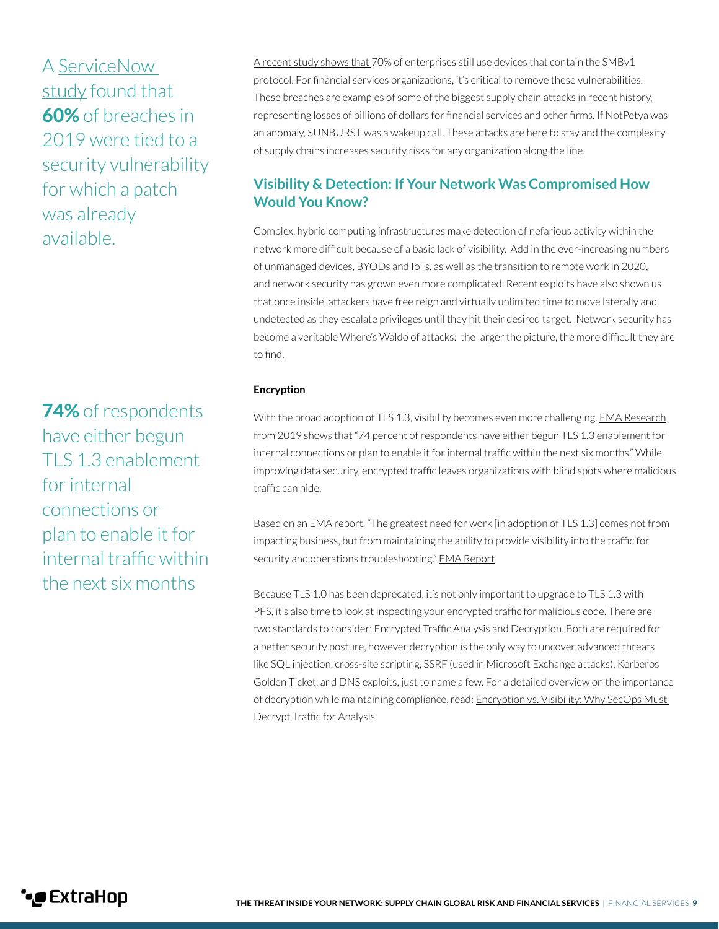A [ServiceNow](https://www.businesswire.com/news/home/20191029005304/en/ServiceNow-Research-Shows-Increase-Cybersecurity-Spending-Breaches)  [study](https://www.businesswire.com/news/home/20191029005304/en/ServiceNow-Research-Shows-Increase-Cybersecurity-Spending-Breaches) found that 60% of breaches in 2019 were tied to a security vulnerability for which a patch was already available.

74% of respondents have either begun TLS 1.3 enablement for internal connections or plan to enable it for internal traffic within the next six months

[A recent study shows that](https://www.extrahop.com/resources/papers/insecure-protocols/) 70% of enterprises still use devices that contain the SMBv1 protocol. For financial services organizations, it's critical to remove these vulnerabilities. These breaches are examples of some of the biggest supply chain attacks in recent history, representing losses of billions of dollars for financial services and other firms. If NotPetya was an anomaly, SUNBURST was a wakeup call. These attacks are here to stay and the complexity of supply chains increases security risks for any organization along the line.

## **Visibility & Detection: If Your Network Was Compromised How Would You Know?**

Complex, hybrid computing infrastructures make detection of nefarious activity within the network more difficult because of a basic lack of visibility. Add in the ever-increasing numbers of unmanaged devices, BYODs and IoTs, as well as the transition to remote work in 2020, and network security has grown even more complicated. Recent exploits have also shown us that once inside, attackers have free reign and virtually unlimited time to move laterally and undetected as they escalate privileges until they hit their desired target. Network security has become a veritable Where's Waldo of attacks: the larger the picture, the more difficult they are to find.

#### **Encryption**

With the broad adoption of TLS 1.3, visibility becomes even more challenging. [EMA Research](https://www.extrahop.com/company/blog/2019/ema-research-on-how-to-safely-implement-tls-1-3/) from 2019 shows that "74 percent of respondents have either begun TLS 1.3 enablement for internal connections or plan to enable it for internal traffic within the next six months." While improving data security, encrypted traffic leaves organizations with blind spots where malicious traffic can hide.

Based on an EMA report, "The greatest need for work [in adoption of TLS 1.3] comes not from impacting business, but from maintaining the ability to provide visibility into the traffic for security and operations troubleshooting." [EMA Report](https://www.extrahop.com/resources/papers/ema-tls-1.3-adoption-in-the-enterprise/)

Because TLS 1.0 has been deprecated, it's not only important to upgrade to TLS 1.3 with PFS, it's also time to look at inspecting your encrypted traffic for malicious code. There are two standards to consider: Encrypted Traffic Analysis and Decryption. Both are required for a better security posture, however decryption is the only way to uncover advanced threats like SQL injection, cross-site scripting, SSRF (used in Microsoft Exchange attacks), Kerberos Golden Ticket, and DNS exploits, just to name a few. For a detailed overview on the importance of decryption while maintaining compliance, read: [Encryption vs. Visibility: Why SecOps Must](https://www.extrahop.com/resources/papers/embracing-encryption/)  [Decrypt Traffic for Analysis.](https://www.extrahop.com/resources/papers/embracing-encryption/)

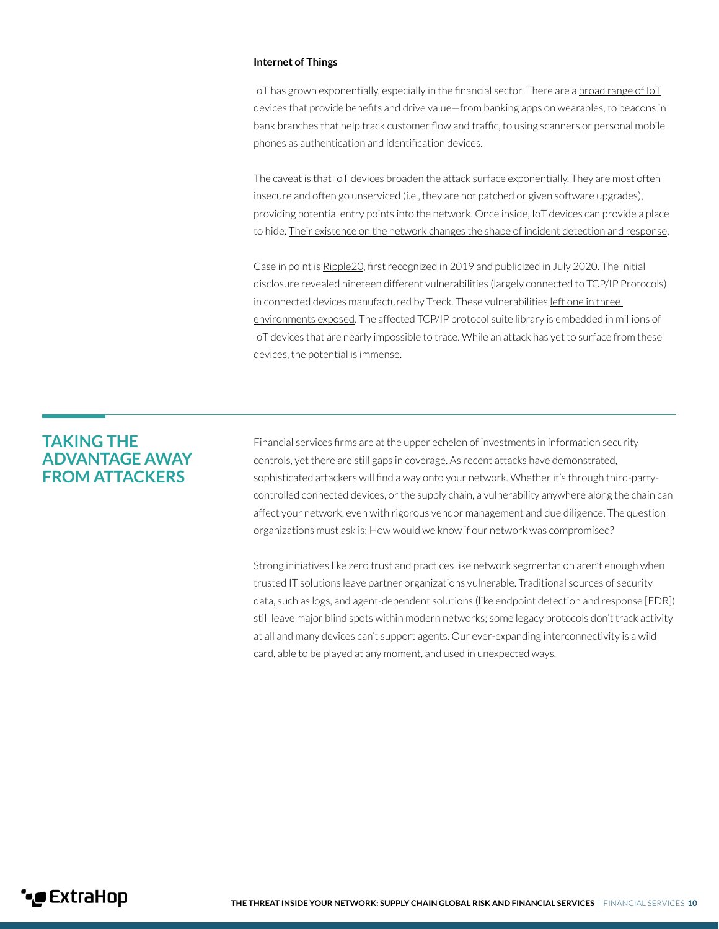#### **Internet of Things**

IoT has grown exponentially, especially in the financial sector. There are a broad range of  $10T$ devices that provide benefits and drive value—from banking apps on wearables, to beacons in bank branches that help track customer flow and traffic, to using scanners or personal mobile phones as authentication and identification devices.

The caveat is that IoT devices broaden the attack surface exponentially. They are most often insecure and often go unserviced (i.e., they are not patched or given software upgrades), providing potential entry points into the network. Once inside, IoT devices can provide a place to hide. [Their existence on the network changes the shape of incident detection and response](https://assets.extrahop.com/pdfs/analyst-reports/SANS-Report-Enterprise-IoT-Detection-and-Response.pdf).

Case in point is [Ripple20](https://www.extrahop.com/resources/papers/ripple20-security-advisory/), first recognized in 2019 and publicized in July 2020. The initial disclosure revealed nineteen different vulnerabilities (largely connected to TCP/IP Protocols) in connected devices manufactured by Treck. These vulnerabilities [left one in three](https://www.extrahop.com/resources/papers/ripple20-security-advisory/)  [environments exposed](https://www.extrahop.com/resources/papers/ripple20-security-advisory/). The affected TCP/IP protocol suite library is embedded in millions of IoT devices that are nearly impossible to trace. While an attack has yet to surface from these devices, the potential is immense.

## **TAKING THE ADVANTAGE AWAY FROM ATTACKERS**

Financial services firms are at the upper echelon of investments in information security controls, yet there are still gaps in coverage. As recent attacks have demonstrated, sophisticated attackers will find a way onto your network. Whether it's through third-partycontrolled connected devices, or the supply chain, a vulnerability anywhere along the chain can affect your network, even with rigorous vendor management and due diligence. The question organizations must ask is: How would we know if our network was compromised?

Strong initiatives like zero trust and practices like network segmentation aren't enough when trusted IT solutions leave partner organizations vulnerable. Traditional sources of security data, such as logs, and agent-dependent solutions (like endpoint detection and response [EDR]) still leave major blind spots within modern networks; some legacy protocols don't track activity at all and many devices can't support agents. Our ever-expanding interconnectivity is a wild card, able to be played at any moment, and used in unexpected ways.

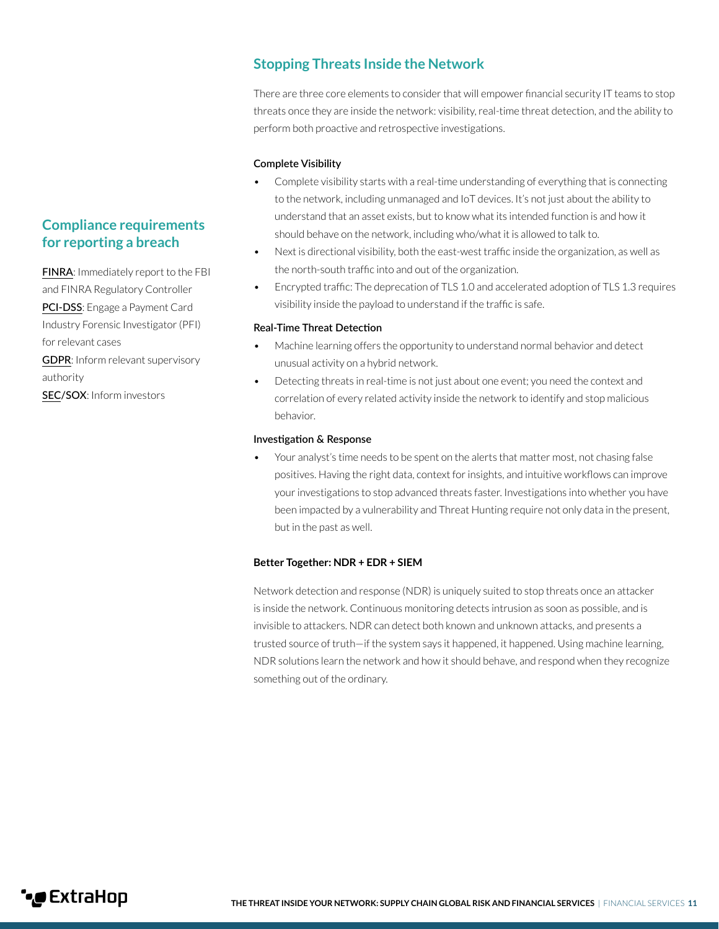### **Stopping Threats Inside the Network**

There are three core elements to consider that will empower financial security IT teams to stop threats once they are inside the network: visibility, real-time threat detection, and the ability to perform both proactive and retrospective investigations.

#### **Complete Visibility**

- Complete visibility starts with a real-time understanding of everything that is connecting to the network, including unmanaged and IoT devices. It's not just about the ability to understand that an asset exists, but to know what its intended function is and how it should behave on the network, including who/what it is allowed to talk to.
- Next is directional visibility, both the east-west traffic inside the organization, as well as the north-south traffic into and out of the organization.
- Encrypted traffic: The deprecation of TLS 1.0 and accelerated adoption of TLS 1.3 requires visibility inside the payload to understand if the traffic is safe.

#### **Real-Time Threat Detection**

- Machine learning offers the opportunity to understand normal behavior and detect unusual activity on a hybrid network.
- Detecting threats in real-time is not just about one event; you need the context and correlation of every related activity inside the network to identify and stop malicious behavior.

#### **Investigation & Response**

• Your analyst's time needs to be spent on the alerts that matter most, not chasing false positives. Having the right data, context for insights, and intuitive workflows can improve your investigations to stop advanced threats faster. Investigations into whether you have been impacted by a vulnerability and Threat Hunting require not only data in the present, but in the past as well.

#### **Better Together: NDR + EDR + SIEM**

Network detection and response (NDR) is uniquely suited to stop threats once an attacker is inside the network. Continuous monitoring detects intrusion as soon as possible, and is invisible to attackers. NDR can detect both known and unknown attacks, and presents a trusted source of truth—if the system says it happened, it happened. Using machine learning, NDR solutions learn the network and how it should behave, and respond when they recognize something out of the ordinary.

## **Compliance requirements for reporting a breach**

[FINRA](https://www.finra.org/rules-guidance/key-topics/cybersecurity): Immediately report to the FBI and FINRA Regulatory Controller [PCI-DSS](https://www.pcisecuritystandards.org/documents/Responding_to_a_Cardholder_Data_Breach.pdf): Engage a Payment Card Industry Forensic Investigator (PFI) for relevant cases

[GDPR](https://gdpr-info.eu/art-33-gdpr/): Inform relevant supervisory authority

[SEC/](https://www.sec.gov/rules/interp/2018/33-10459.pdf)SOX: Inform investors

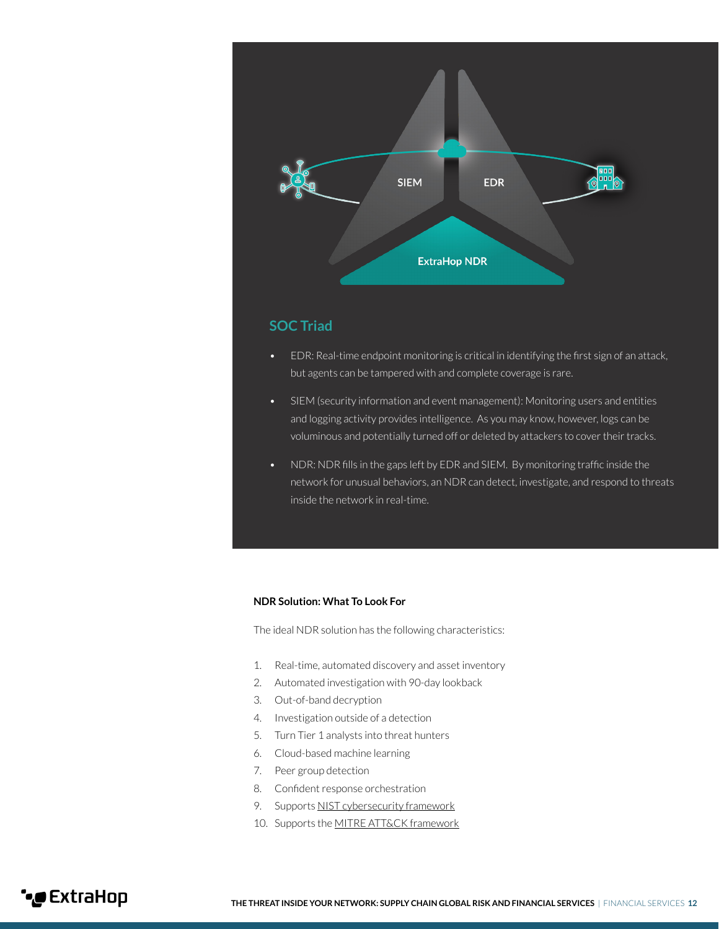

### **SOC Triad**

- EDR: Real-time endpoint monitoring is critical in identifying the first sign of an attack, but agents can be tampered with and complete coverage is rare.
- SIEM (security information and event management): Monitoring users and entities and logging activity provides intelligence. As you may know, however, logs can be voluminous and potentially turned off or deleted by attackers to cover their tracks.
- NDR: NDR fills in the gaps left by EDR and SIEM. By monitoring traffic inside the network for unusual behaviors, an NDR can detect, investigate, and respond to threats inside the network in real-time.

#### **NDR Solution: What To Look For**

The ideal NDR solution has the following characteristics:

- 1. Real-time, automated discovery and asset inventory
- 2. Automated investigation with 90-day lookback
- 3. Out-of-band decryption
- 4. Investigation outside of a detection
- 5. Turn Tier 1 analysts into threat hunters
- 6. Cloud-based machine learning
- 7. Peer group detection
- 8. Confident response orchestration
- 9. Supports [NIST cybersecurity framework](https://www.nist.gov/cyberframework)
- 10. Supports the [MITRE ATT&CK framework](https://attack.mitre.org/)